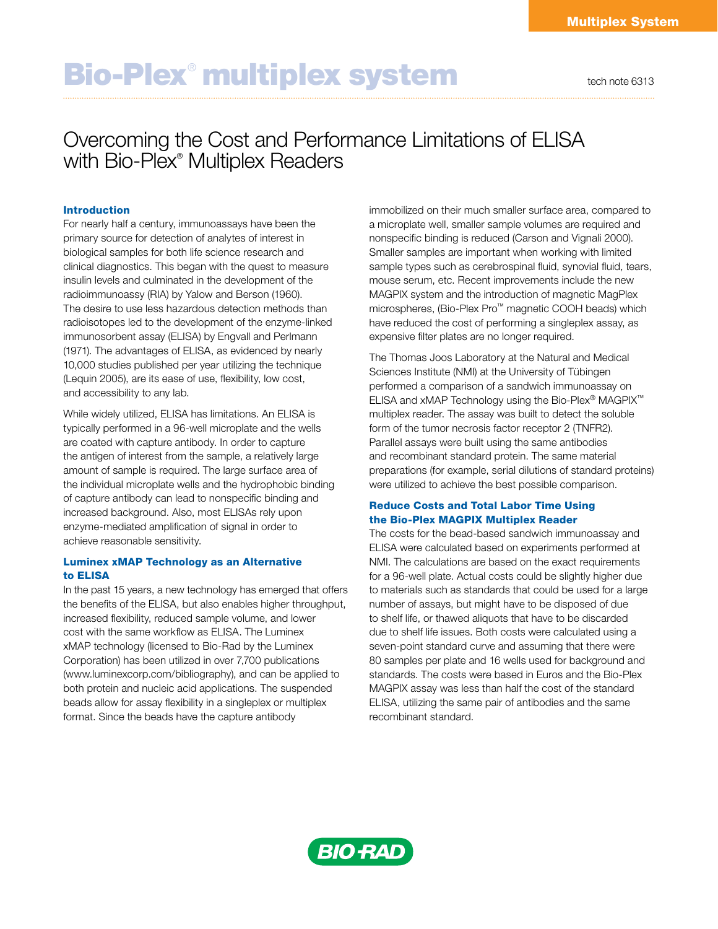# Bio-Plex<sup>®</sup> multiplex system tech note 6313

# Overcoming the Cost and Performance Limitations of ELISA with Bio-Plex® Multiplex Readers

# Introduction

For nearly half a century, immunoassays have been the primary source for detection of analytes of interest in biological samples for both life science research and clinical diagnostics. This began with the quest to measure insulin levels and culminated in the development of the radioimmunoassy (RIA) by Yalow and Berson (1960). The desire to use less hazardous detection methods than radioisotopes led to the development of the enzyme-linked immunosorbent assay (ELISA) by Engvall and Perlmann (1971). The advantages of ELISA, as evidenced by nearly 10,000 studies published per year utilizing the technique (Lequin 2005), are its ease of use, flexibility, low cost, and accessibility to any lab.

While widely utilized, ELISA has limitations. An ELISA is typically performed in a 96-well microplate and the wells are coated with capture antibody. In order to capture the antigen of interest from the sample, a relatively large amount of sample is required. The large surface area of the individual microplate wells and the hydrophobic binding of capture antibody can lead to nonspecific binding and increased background. Also, most ELISAs rely upon enzyme-mediated amplification of signal in order to achieve reasonable sensitivity.

# Luminex xMAP Technology as an Alternative to ELISA

In the past 15 years, a new technology has emerged that offers the benefits of the ELISA, but also enables higher throughput, increased flexibility, reduced sample volume, and lower cost with the same workflow as ELISA. The Luminex xMAP technology (licensed to Bio-Rad by the Luminex Corporation) has been utilized in over 7,700 publications (www.luminexcorp.com/bibliography), and can be applied to both protein and nucleic acid applications. The suspended beads allow for assay flexibility in a singleplex or multiplex format. Since the beads have the capture antibody

immobilized on their much smaller surface area, compared to a microplate well, smaller sample volumes are required and nonspecific binding is reduced (Carson and Vignali 2000). Smaller samples are important when working with limited sample types such as cerebrospinal fluid, synovial fluid, tears, mouse serum, etc. Recent improvements include the new MAGPIX system and the introduction of magnetic MagPlex microspheres, (Bio-Plex Pro™ magnetic COOH beads) which have reduced the cost of performing a singleplex assay, as expensive filter plates are no longer required.

The Thomas Joos Laboratory at the Natural and Medical Sciences Institute (NMI) at the University of Tübingen performed a comparison of a sandwich immunoassay on ELISA and xMAP Technology using the Bio-Plex® MAGPIX™ multiplex reader. The assay was built to detect the soluble form of the tumor necrosis factor receptor 2 (TNFR2). Parallel assays were built using the same antibodies and recombinant standard protein. The same material preparations (for example, serial dilutions of standard proteins) were utilized to achieve the best possible comparison.

# Reduce Costs and Total Labor Time Using the Bio-Plex MAGPIX Multiplex Reader

The costs for the bead-based sandwich immunoassay and ELISA were calculated based on experiments performed at NMI. The calculations are based on the exact requirements for a 96-well plate. Actual costs could be slightly higher due to materials such as standards that could be used for a large number of assays, but might have to be disposed of due to shelf life, or thawed aliquots that have to be discarded due to shelf life issues. Both costs were calculated using a seven-point standard curve and assuming that there were 80 samples per plate and 16 wells used for background and standards. The costs were based in Euros and the Bio-Plex MAGPIX assay was less than half the cost of the standard ELISA, utilizing the same pair of antibodies and the same recombinant standard.

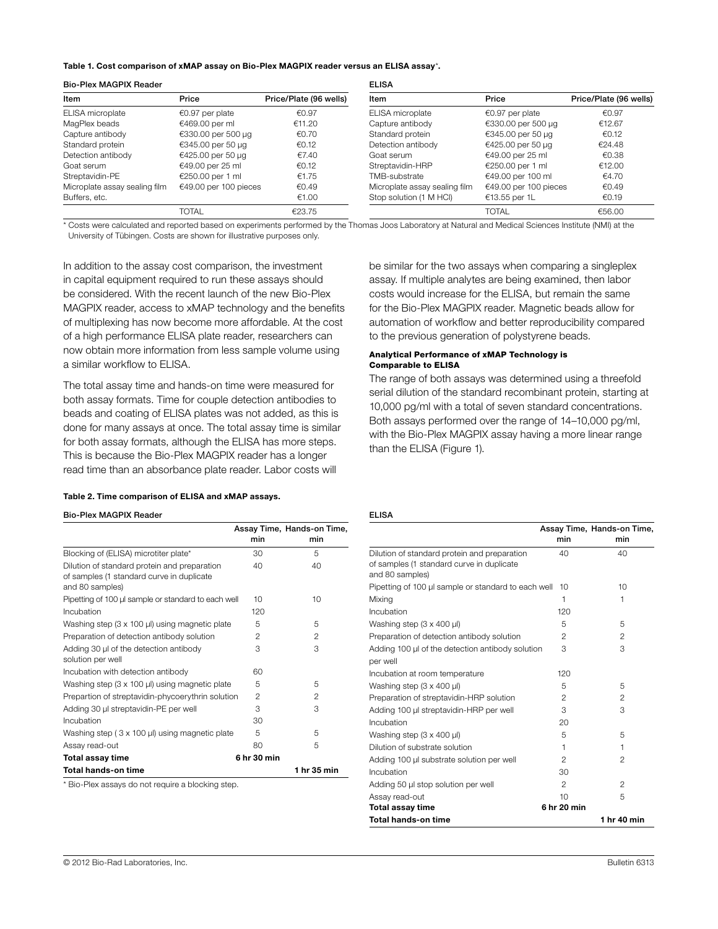#### Table 1. Cost comparison of xMAP assay on Bio-Plex MAGPIX reader versus an ELISA assay\*.

| <b>Bio-Plex MAGPIX Reader</b> |                       |                        | <b>ELISA</b>                  |                       |                        |
|-------------------------------|-----------------------|------------------------|-------------------------------|-----------------------|------------------------|
| Item                          | Price                 | Price/Plate (96 wells) | Item                          | Price                 | Price/Plate (96 wells) |
| ELISA microplate              | €0.97 per plate       | €0.97                  | ELISA microplate              | €0.97 per plate       | €0.97                  |
| MagPlex beads                 | €469.00 per ml        | €11.20                 | Capture antibody              | €330.00 per 500 µg    | €12.67                 |
| Capture antibody              | €330.00 per 500 µg    | €0.70                  | Standard protein              | €345.00 per 50 µg     | €0.12                  |
| Standard protein              | €345.00 per 50 µg     | €0.12                  | Detection antibody            | €425.00 per 50 µg     | €24.48                 |
| Detection antibody            | €425.00 per 50 µg     | €7.40                  | Goat serum                    | €49.00 per 25 ml      | €0.38                  |
| Goat serum                    | €49.00 per 25 ml      | €0.12                  | Streptavidin-HRP              | €250.00 per 1 ml      | €12.00                 |
| Streptavidin-PE               | €250.00 per 1 ml      | €1.75                  | TMB-substrate                 | €49.00 per 100 ml     | €4.70                  |
| Microplate assay sealing film | €49.00 per 100 pieces | €0.49                  | Microplate assay sealing film | €49.00 per 100 pieces | €0.49                  |
| Buffers, etc.                 |                       | €1.00                  | Stop solution (1 M HCI)       | €13.55 per 1L         | €0.19                  |
|                               | <b>TOTAL</b>          | €23.75                 |                               | <b>TOTAL</b>          | €56.00                 |

\* Costs were calculated and reported based on experiments performed by the Thomas Joos Laboratory at Natural and Medical Sciences Institute (NMI) at the University of Tübingen. Costs are shown for illustrative purposes only.

In addition to the assay cost comparison, the investment in capital equipment required to run these assays should be considered. With the recent launch of the new Bio-Plex MAGPIX reader, access to xMAP technology and the benefits of multiplexing has now become more affordable. At the cost of a high performance ELISA plate reader, researchers can now obtain more information from less sample volume using a similar workflow to ELISA.

The total assay time and hands-on time were measured for both assay formats. Time for couple detection antibodies to beads and coating of ELISA plates was not added, as this is done for many assays at once. The total assay time is similar for both assay formats, although the ELISA has more steps. This is because the Bio-Plex MAGPIX reader has a longer read time than an absorbance plate reader. Labor costs will

#### Table 2. Time comparison of ELISA and xMAP assays.

#### Bio-Plex MAGPIX Reader

|                                                                                                              |             | Assay Time, Hands-on Time, |
|--------------------------------------------------------------------------------------------------------------|-------------|----------------------------|
|                                                                                                              | min         | min                        |
| Blocking of (ELISA) microtiter plate*                                                                        | 30          | 5                          |
| Dilution of standard protein and preparation<br>of samples (1 standard curve in duplicate<br>and 80 samples) | 40          | 40                         |
| Pipetting of 100 µ sample or standard to each well                                                           | 10          | 10                         |
| Incubation                                                                                                   | 120         |                            |
| Washing step (3 x 100 µl) using magnetic plate                                                               | 5           | 5                          |
| Preparation of detection antibody solution                                                                   | 2           | $\mathfrak{p}$             |
| Adding 30 µl of the detection antibody<br>solution per well                                                  | 3           | 3                          |
| Incubation with detection antibody                                                                           | 60          |                            |
| Washing step $(3 \times 100 \,\mu\text{J})$ using magnetic plate                                             | 5           | 5                          |
| Prepartion of streptavidin-phycoerythrin solution                                                            | 2           | $\mathfrak{p}$             |
| Adding 30 µl streptavidin-PE per well                                                                        | 3           | 3                          |
| Incubation                                                                                                   | 30          |                            |
| Washing step (3 x 100 µl) using magnetic plate                                                               | 5           | 5                          |
| Assay read-out                                                                                               | 80          | 5                          |
| Total assay time                                                                                             | 6 hr 30 min |                            |
| <b>Total hands-on time</b>                                                                                   |             | 1 hr 35 min                |

\* Bio-Plex assays do not require a blocking step.

be similar for the two assays when comparing a singleplex assay. If multiple analytes are being examined, then labor costs would increase for the ELISA, but remain the same for the Bio-Plex MAGPIX reader. Magnetic beads allow for automation of workflow and better reproducibility compared to the previous generation of polystyrene beads.

#### Analytical Performance of xMAP Technology is Comparable to ELISA

The range of both assays was determined using a threefold serial dilution of the standard recombinant protein, starting at 10,000 pg/ml with a total of seven standard concentrations. Both assays performed over the range of 14–10,000 pg/ml, with the Bio-Plex MAGPIX assay having a more linear range than the ELISA (Figure 1).

ELISA

|                                                              |                | Assay Time, Hands-on Time, |
|--------------------------------------------------------------|----------------|----------------------------|
|                                                              | min            | min                        |
| Dilution of standard protein and preparation                 | 40             | 40                         |
| of samples (1 standard curve in duplicate<br>and 80 samples) |                |                            |
| Pipetting of 100 µ sample or standard to each well           | 10             | 10                         |
| Mixing                                                       | 1              | 1                          |
| Incubation                                                   | 120            |                            |
| Washing step (3 x 400 µl)                                    | 5              | 5                          |
| Preparation of detection antibody solution                   | 2              | $\overline{2}$             |
| Adding 100 µl of the detection antibody solution             | 3              | 3                          |
| per well                                                     |                |                            |
| Incubation at room temperature                               | 120            |                            |
| Washing step $(3 \times 400 \mu)$                            | 5              | 5                          |
| Preparation of streptavidin-HRP solution                     | 2              | 2                          |
| Adding 100 µl streptavidin-HRP per well                      | 3              | 3                          |
| Incubation                                                   | 20             |                            |
| Washing step $(3 \times 400 \,\mu\text{I})$                  | 5              | 5                          |
| Dilution of substrate solution                               | 1              | 1                          |
| Adding 100 µl substrate solution per well                    | $\mathfrak{p}$ | 2                          |
| Incubation                                                   | 30             |                            |
| Adding 50 µl stop solution per well                          | $\mathfrak{p}$ | $\mathfrak{p}$             |
| Assay read-out                                               | 10             | 5                          |
| Total assay time                                             | 6 hr 20 min    |                            |
| <b>Total hands-on time</b>                                   |                | 1 hr 40 min                |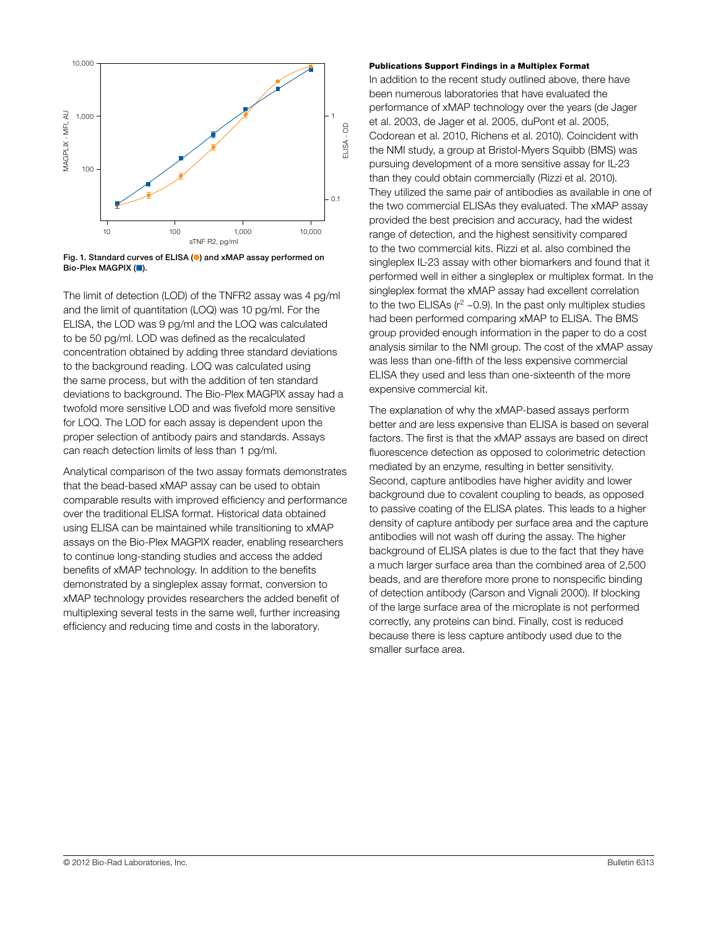

Fig. 1. Standard curves of ELISA (●) and xMAP assay performed on

The limit of detection (LOD) of the TNFR2 assay was 4 pg/ml and the limit of quantitation (LOQ) was 10 pg/ml. For the ELISA, the LOD was 9 pg/ml and the LOQ was calculated to be 50 pg/ml. LOD was defined as the recalculated concentration obtained by adding three standard deviations to the background reading. LOQ was calculated using the same process, but with the addition of ten standard deviations to background. The Bio-Plex MAGPIX assay had a twofold more sensitive LOD and was fivefold more sensitive for LOQ. The LOD for each assay is dependent upon the proper selection of antibody pairs and standards. Assays can reach detection limits of less than 1 pg/ml.

Analytical comparison of the two assay formats demonstrates that the bead-based xMAP assay can be used to obtain comparable results with improved efficiency and performance over the traditional ELISA format. Historical data obtained using ELISA can be maintained while transitioning to xMAP assays on the Bio-Plex MAGPIX reader, enabling researchers to continue long-standing studies and access the added benefits of xMAP technology. In addition to the benefits demonstrated by a singleplex assay format, conversion to xMAP technology provides researchers the added benefit of multiplexing several tests in the same well, further increasing efficiency and reducing time and costs in the laboratory.

#### Publications Support Findings in a Multiplex Format

In addition to the recent study outlined above, there have been numerous laboratories that have evaluated the performance of xMAP technology over the years (de Jager et al. 2003, de Jager et al. 2005, duPont et al. 2005, Codorean et al. 2010, Richens et al. 2010). Coincident with the NMI study, a group at Bristol-Myers Squibb (BMS) was pursuing development of a more sensitive assay for IL-23 than they could obtain commercially (Rizzi et al. 2010). They utilized the same pair of antibodies as available in one of the two commercial ELISAs they evaluated. The xMAP assay provided the best precision and accuracy, had the widest range of detection, and the highest sensitivity compared to the two commercial kits. Rizzi et al. also combined the singleplex IL-23 assay with other biomarkers and found that it performed well in either a singleplex or multiplex format. In the singleplex format the xMAP assay had excellent correlation to the two ELISAs ( $r^2$  ~0.9). In the past only multiplex studies had been performed comparing xMAP to ELISA. The BMS group provided enough information in the paper to do a cost analysis similar to the NMI group. The cost of the xMAP assay was less than one-fifth of the less expensive commercial ELISA they used and less than one-sixteenth of the more expensive commercial kit.

The explanation of why the xMAP-based assays perform better and are less expensive than ELISA is based on several factors. The first is that the xMAP assays are based on direct fluorescence detection as opposed to colorimetric detection mediated by an enzyme, resulting in better sensitivity. Second, capture antibodies have higher avidity and lower background due to covalent coupling to beads, as opposed to passive coating of the ELISA plates. This leads to a higher density of capture antibody per surface area and the capture antibodies will not wash off during the assay. The higher background of ELISA plates is due to the fact that they have a much larger surface area than the combined area of 2,500 beads, and are therefore more prone to nonspecific binding of detection antibody (Carson and Vignali 2000). If blocking of the large surface area of the microplate is not performed correctly, any proteins can bind. Finally, cost is reduced because there is less capture antibody used due to the smaller surface area.